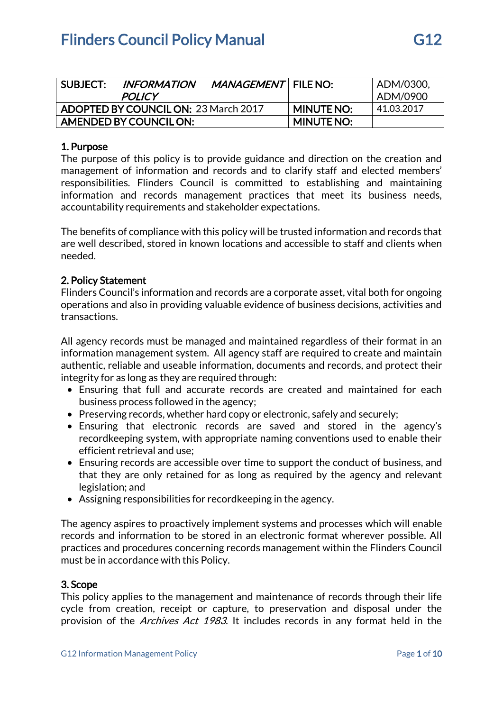| SUBJECT:                                    | <b>INFORMATION</b><br><b>POLICY</b> | MANAGEMENT   FILE NO: |                   | ADM/0300,<br>  ADM/0900 |
|---------------------------------------------|-------------------------------------|-----------------------|-------------------|-------------------------|
| <b>ADOPTED BY COUNCIL ON: 23 March 2017</b> |                                     |                       | <b>MINUTE NO:</b> | 41.03.2017              |
| AMENDED BY COUNCIL ON:                      |                                     |                       | <b>MINUTE NO:</b> |                         |

## 1. Purpose

The purpose of this policy is to provide guidance and direction on the creation and management of information and records and to clarify staff and elected members' responsibilities. Flinders Council is committed to establishing and maintaining information and records management practices that meet its business needs, accountability requirements and stakeholder expectations.

The benefits of compliance with this policy will be trusted information and records that are well described, stored in known locations and accessible to staff and clients when needed.

## 2. Policy Statement

Flinders Council's information and records are a corporate asset, vital both for ongoing operations and also in providing valuable evidence of business decisions, activities and transactions.

All agency records must be managed and maintained regardless of their format in an information management system. All agency staff are required to create and maintain authentic, reliable and useable information, documents and records, and protect their integrity for as long as they are required through:

- Ensuring that full and accurate records are created and maintained for each business process followed in the agency;
- Preserving records, whether hard copy or electronic, safely and securely;
- Ensuring that electronic records are saved and stored in the agency's recordkeeping system, with appropriate naming conventions used to enable their efficient retrieval and use;
- Ensuring records are accessible over time to support the conduct of business, and that they are only retained for as long as required by the agency and relevant legislation; and
- Assigning responsibilities for recordkeeping in the agency.

The agency aspires to proactively implement systems and processes which will enable records and information to be stored in an electronic format wherever possible. All practices and procedures concerning records management within the Flinders Council must be in accordance with this Policy.

## 3. Scope

This policy applies to the management and maintenance of records through their life cycle from creation, receipt or capture, to preservation and disposal under the provision of the *Archives Act 1983*. It includes records in any format held in the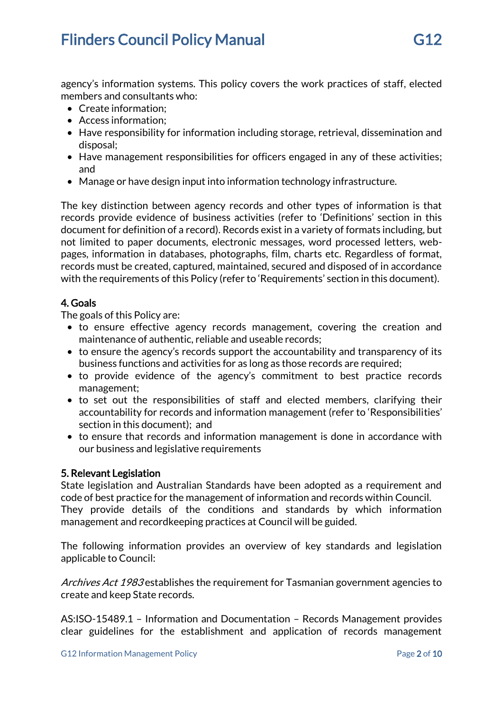# **Flinders Council Policy Manual G12** 612

agency's information systems. This policy covers the work practices of staff, elected members and consultants who:

- Create information;
- Access information;
- Have responsibility for information including storage, retrieval, dissemination and disposal;
- Have management responsibilities for officers engaged in any of these activities; and
- Manage or have design input into information technology infrastructure.

The key distinction between agency records and other types of information is that records provide evidence of business activities (refer to 'Definitions' section in this document for definition of a record). Records exist in a variety of formats including, but not limited to paper documents, electronic messages, word processed letters, webpages, information in databases, photographs, film, charts etc. Regardless of format, records must be created, captured, maintained, secured and disposed of in accordance with the requirements of this Policy (refer to 'Requirements' section in this document).

# 4. Goals

The goals of this Policy are:

- to ensure effective agency records management, covering the creation and maintenance of authentic, reliable and useable records;
- to ensure the agency's records support the accountability and transparency of its business functions and activities for as long as those records are required;
- to provide evidence of the agency's commitment to best practice records management;
- to set out the responsibilities of staff and elected members, clarifying their accountability for records and information management (refer to 'Responsibilities' section in this document); and
- to ensure that records and information management is done in accordance with our business and legislative requirements

## 5. Relevant Legislation

State legislation and Australian Standards have been adopted as a requirement and code of best practice for the management of information and records within Council. They provide details of the conditions and standards by which information management and recordkeeping practices at Council will be guided.

The following information provides an overview of key standards and legislation applicable to Council:

Archives Act 1983 establishes the requirement for Tasmanian government agencies to create and keep State records.

AS:ISO-15489.1 – Information and Documentation – Records Management provides clear guidelines for the establishment and application of records management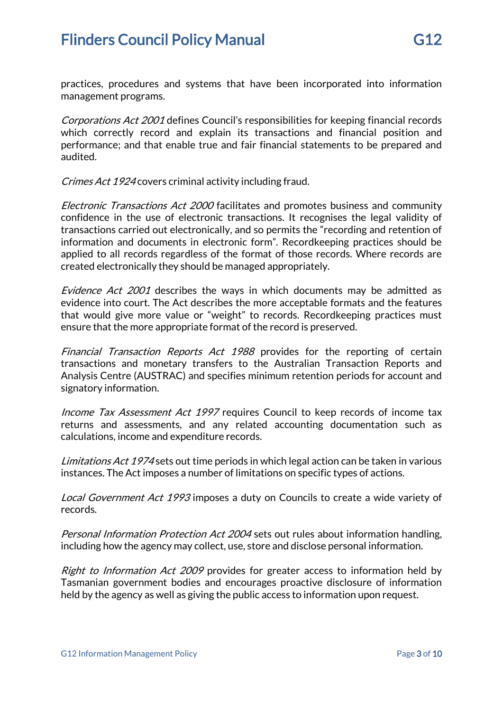Corporations Act 2001 defines Council's responsibilities for keeping financial records which correctly record and explain its transactions and financial position and performance; and that enable true and fair financial statements to be prepared and audited.

Crimes Act 1924 covers criminal activity including fraud.

Electronic Transactions Act 2000 facilitates and promotes business and community confidence in the use of electronic transactions. It recognises the legal validity of transactions carried out electronically, and so permits the "recording and retention of information and documents in electronic form". Recordkeeping practices should be applied to all records regardless of the format of those records. Where records are created electronically they should be managed appropriately.

Evidence Act 2001 describes the ways in which documents may be admitted as evidence into court. The Act describes the more acceptable formats and the features that would give more value or "weight" to records. Recordkeeping practices must ensure that the more appropriate format of the record is preserved.

Financial Transaction Reports Act 1988 provides for the reporting of certain transactions and monetary transfers to the Australian Transaction Reports and Analysis Centre (AUSTRAC) and specifies minimum retention periods for account and signatory information.

Income Tax Assessment Act 1997 requires Council to keep records of income tax returns and assessments, and any related accounting documentation such as calculations, income and expenditure records.

Limitations Act 1974 sets out time periods in which legal action can be taken in various instances. The Act imposes a number of limitations on specific types of actions.

Local Government Act 1993 imposes a duty on Councils to create a wide variety of records.

Personal Information Protection Act 2004 sets out rules about information handling, including how the agency may collect, use, store and disclose personal information.

Right to Information Act 2009 provides for greater access to information held by Tasmanian government bodies and encourages proactive disclosure of information held by the agency as well as giving the public access to information upon request.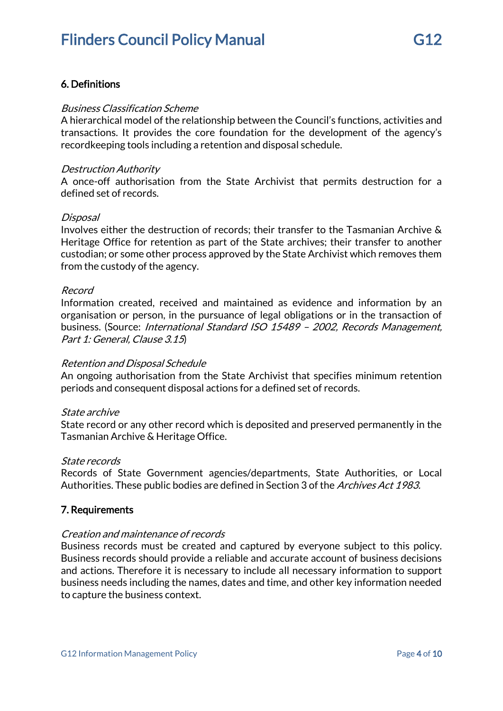# 6. Definitions

#### Business Classification Scheme

A hierarchical model of the relationship between the Council's functions, activities and transactions. It provides the core foundation for the development of the agency's recordkeeping tools including a retention and disposal schedule.

#### Destruction Authority

A once-off authorisation from the State Archivist that permits destruction for a defined set of records.

#### Disposal

Involves either the destruction of records; their transfer to the Tasmanian Archive & Heritage Office for retention as part of the State archives; their transfer to another custodian; or some other process approved by the State Archivist which removes them from the custody of the agency.

#### Record

Information created, received and maintained as evidence and information by an organisation or person, in the pursuance of legal obligations or in the transaction of business. (Source: International Standard ISO 15489 – 2002, Records Management, Part 1: General, Clause 3.15)

## Retention and Disposal Schedule

An ongoing authorisation from the State Archivist that specifies minimum retention periods and consequent disposal actions for a defined set of records.

#### State archive

State record or any other record which is deposited and preserved permanently in the Tasmanian Archive & Heritage Office.

#### State records

Records of State Government agencies/departments, State Authorities, or Local Authorities. These public bodies are defined in Section 3 of the Archives Act 1983.

## 7. Requirements

## Creation and maintenance of records

Business records must be created and captured by everyone subject to this policy. Business records should provide a reliable and accurate account of business decisions and actions. Therefore it is necessary to include all necessary information to support business needs including the names, dates and time, and other key information needed to capture the business context.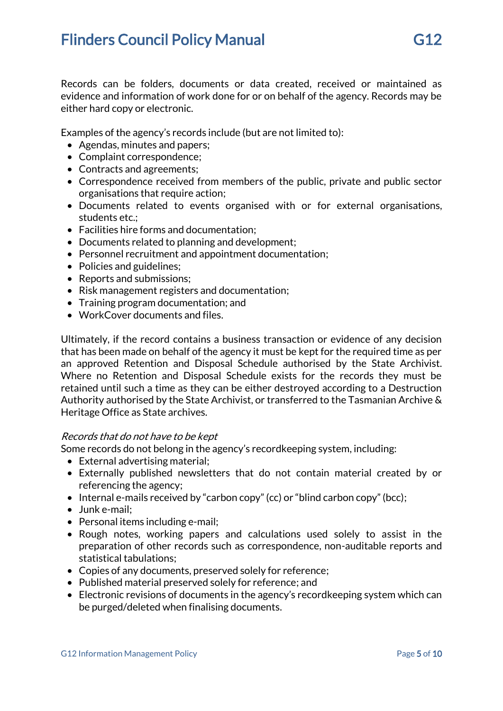Records can be folders, documents or data created, received or maintained as evidence and information of work done for or on behalf of the agency. Records may be either hard copy or electronic.

Examples of the agency's records include (but are not limited to):

- Agendas, minutes and papers;
- Complaint correspondence;
- Contracts and agreements;
- Correspondence received from members of the public, private and public sector organisations that require action;
- Documents related to events organised with or for external organisations, students etc.;
- Facilities hire forms and documentation;
- Documents related to planning and development;
- Personnel recruitment and appointment documentation;
- Policies and guidelines:
- Reports and submissions;
- Risk management registers and documentation;
- Training program documentation; and
- WorkCover documents and files.

Ultimately, if the record contains a business transaction or evidence of any decision that has been made on behalf of the agency it must be kept for the required time as per an approved Retention and Disposal Schedule authorised by the State Archivist. Where no Retention and Disposal Schedule exists for the records they must be retained until such a time as they can be either destroyed according to a Destruction Authority authorised by the State Archivist, or transferred to the Tasmanian Archive & Heritage Office as State archives.

## Records that do not have to be kept

Some records do not belong in the agency's recordkeeping system, including:

- External advertising material;
- Externally published newsletters that do not contain material created by or referencing the agency;
- Internal e-mails received by "carbon copy" (cc) or "blind carbon copy" (bcc);
- Junk e-mail;
- Personal items including e-mail;
- Rough notes, working papers and calculations used solely to assist in the preparation of other records such as correspondence, non-auditable reports and statistical tabulations;
- Copies of any documents, preserved solely for reference;
- Published material preserved solely for reference; and
- Electronic revisions of documents in the agency's recordkeeping system which can be purged/deleted when finalising documents.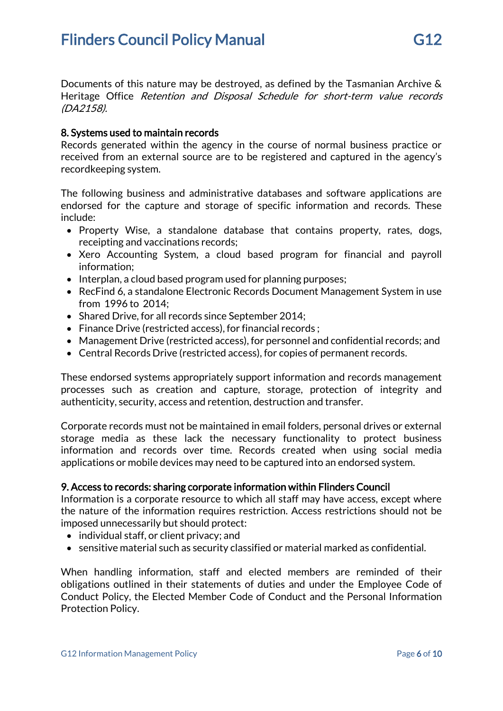Documents of this nature may be destroyed, as defined by the Tasmanian Archive & Heritage Office Retention and Disposal Schedule for short-term value records (DA2158).

## 8. Systems used to maintain records

Records generated within the agency in the course of normal business practice or received from an external source are to be registered and captured in the agency's recordkeeping system.

The following business and administrative databases and software applications are endorsed for the capture and storage of specific information and records. These include:

- Property Wise, a standalone database that contains property, rates, dogs, receipting and vaccinations records;
- Xero Accounting System, a cloud based program for financial and payroll information;
- Interplan, a cloud based program used for planning purposes;
- RecFind 6, a standalone Electronic Records Document Management System in use from 1996 to 2014;
- Shared Drive, for all records since September 2014;
- Finance Drive (restricted access), for financial records :
- Management Drive (restricted access), for personnel and confidential records; and
- Central Records Drive (restricted access), for copies of permanent records.

These endorsed systems appropriately support information and records management processes such as creation and capture, storage, protection of integrity and authenticity, security, access and retention, destruction and transfer.

Corporate records must not be maintained in email folders, personal drives or external storage media as these lack the necessary functionality to protect business information and records over time. Records created when using social media applications or mobile devices may need to be captured into an endorsed system.

## 9. Access to records: sharing corporate information within Flinders Council

Information is a corporate resource to which all staff may have access, except where the nature of the information requires restriction. Access restrictions should not be imposed unnecessarily but should protect:

- individual staff, or client privacy; and
- sensitive material such as security classified or material marked as confidential.

When handling information, staff and elected members are reminded of their obligations outlined in their statements of duties and under the Employee Code of Conduct Policy, the Elected Member Code of Conduct and the Personal Information Protection Policy.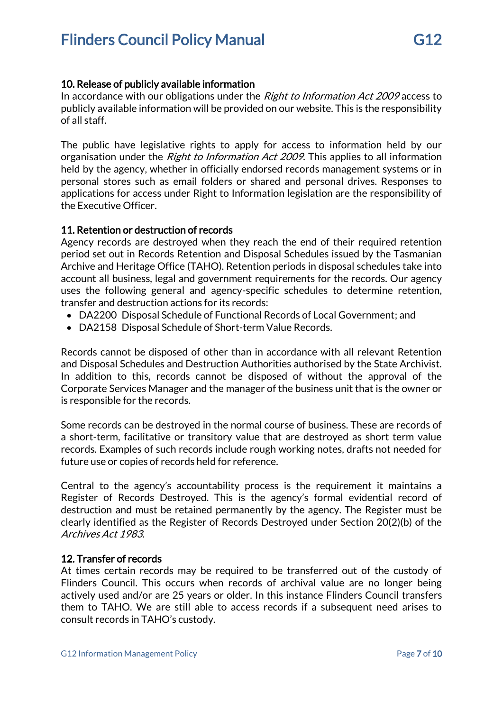# 10. Release of publicly available information

In accordance with our obligations under the Right to Information Act 2009 access to publicly available information will be provided on our website. This is the responsibility of all staff.

The public have legislative rights to apply for access to information held by our organisation under the *Right to Information Act 2009*. This applies to all information held by the agency, whether in officially endorsed records management systems or in personal stores such as email folders or shared and personal drives. Responses to applications for access under Right to Information legislation are the responsibility of the Executive Officer.

# 11. Retention or destruction of records

Agency records are destroyed when they reach the end of their required retention period set out in Records Retention and Disposal Schedules issued by the Tasmanian Archive and Heritage Office (TAHO). Retention periods in disposal schedules take into account all business, legal and government requirements for the records. Our agency uses the following general and agency-specific schedules to determine retention, transfer and destruction actions for its records:

- DA2200 Disposal Schedule of Functional Records of Local Government; and
- DA2158 Disposal Schedule of Short-term Value Records.

Records cannot be disposed of other than in accordance with all relevant Retention and Disposal Schedules and Destruction Authorities authorised by the State Archivist. In addition to this, records cannot be disposed of without the approval of the Corporate Services Manager and the manager of the business unit that is the owner or is responsible for the records.

Some records can be destroyed in the normal course of business. These are records of a short-term, facilitative or transitory value that are destroyed as short term value records. Examples of such records include rough working notes, drafts not needed for future use or copies of records held for reference.

Central to the agency's accountability process is the requirement it maintains a Register of Records Destroyed. This is the agency's formal evidential record of destruction and must be retained permanently by the agency. The Register must be clearly identified as the Register of Records Destroyed under Section 20(2)(b) of the Archives Act 1983.

# 12. Transfer of records

At times certain records may be required to be transferred out of the custody of Flinders Council. This occurs when records of archival value are no longer being actively used and/or are 25 years or older. In this instance Flinders Council transfers them to TAHO. We are still able to access records if a subsequent need arises to consult records in TAHO's custody.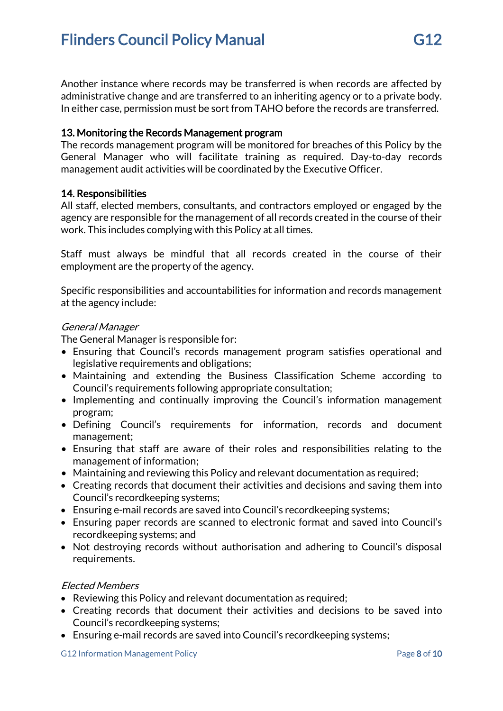Another instance where records may be transferred is when records are affected by administrative change and are transferred to an inheriting agency or to a private body. In either case, permission must be sort from TAHO before the records are transferred.

## 13. Monitoring the Records Management program

The records management program will be monitored for breaches of this Policy by the General Manager who will facilitate training as required. Day-to-day records management audit activities will be coordinated by the Executive Officer.

## 14. Responsibilities

All staff, elected members, consultants, and contractors employed or engaged by the agency are responsible for the management of all records created in the course of their work. This includes complying with this Policy at all times.

Staff must always be mindful that all records created in the course of their employment are the property of the agency.

Specific responsibilities and accountabilities for information and records management at the agency include:

## General Manager

The General Manager is responsible for:

- Ensuring that Council's records management program satisfies operational and legislative requirements and obligations;
- Maintaining and extending the Business Classification Scheme according to Council's requirements following appropriate consultation;
- Implementing and continually improving the Council's information management program;
- Defining Council's requirements for information, records and document management;
- Ensuring that staff are aware of their roles and responsibilities relating to the management of information;
- Maintaining and reviewing this Policy and relevant documentation as required;
- Creating records that document their activities and decisions and saving them into Council's recordkeeping systems;
- Ensuring e-mail records are saved into Council's recordkeeping systems;
- Ensuring paper records are scanned to electronic format and saved into Council's recordkeeping systems; and
- Not destroying records without authorisation and adhering to Council's disposal requirements.

# Elected Members

- Reviewing this Policy and relevant documentation as required;
- Creating records that document their activities and decisions to be saved into Council's recordkeeping systems;
- Ensuring e-mail records are saved into Council's recordkeeping systems;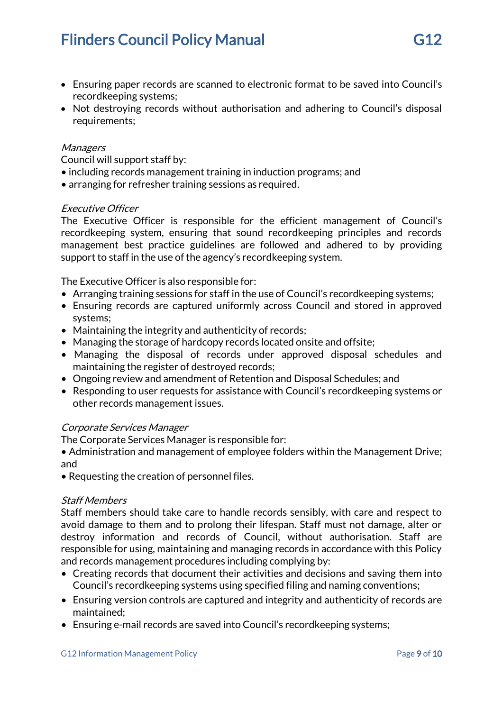# **Flinders Council Policy Manual G12** 612

- Ensuring paper records are scanned to electronic format to be saved into Council's recordkeeping systems;
- Not destroying records without authorisation and adhering to Council's disposal requirements;

#### **Managers**

Council will support staff by:

- including records management training in induction programs; and
- arranging for refresher training sessions as required.

#### Executive Officer

The Executive Officer is responsible for the efficient management of Council's recordkeeping system, ensuring that sound recordkeeping principles and records management best practice guidelines are followed and adhered to by providing support to staff in the use of the agency's recordkeeping system.

The Executive Officer is also responsible for:

- Arranging training sessions for staff in the use of Council's recordkeeping systems;
- Ensuring records are captured uniformly across Council and stored in approved systems;
- Maintaining the integrity and authenticity of records;
- Managing the storage of hardcopy records located onsite and offsite;
- Managing the disposal of records under approved disposal schedules and maintaining the register of destroyed records;
- Ongoing review and amendment of Retention and Disposal Schedules; and
- Responding to user requests for assistance with Council's recordkeeping systems or other records management issues.

## Corporate Services Manager

The Corporate Services Manager is responsible for:

• Administration and management of employee folders within the Management Drive; and

• Requesting the creation of personnel files.

#### Staff Members

Staff members should take care to handle records sensibly, with care and respect to avoid damage to them and to prolong their lifespan. Staff must not damage, alter or destroy information and records of Council, without authorisation. Staff are responsible for using, maintaining and managing records in accordance with this Policy and records management procedures including complying by:

- Creating records that document their activities and decisions and saving them into Council's recordkeeping systems using specified filing and naming conventions;
- Ensuring version controls are captured and integrity and authenticity of records are maintained;
- Ensuring e-mail records are saved into Council's recordkeeping systems;